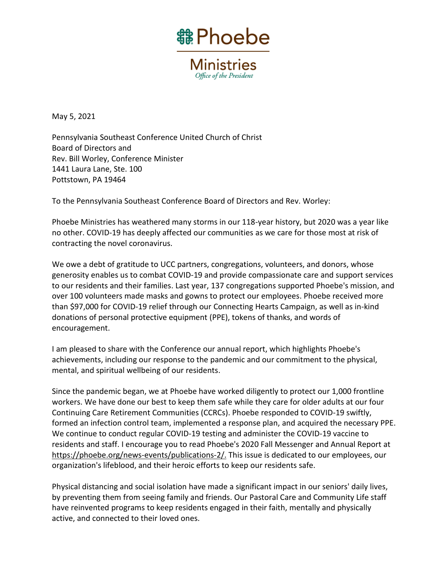

**Ministries** Office of the President

May 5, 2021

Pennsylvania Southeast Conference United Church of Christ Board of Directors and Rev. Bill Worley, Conference Minister 1441 Laura Lane, Ste. 100 Pottstown, PA 19464

To the Pennsylvania Southeast Conference Board of Directors and Rev. Worley:

Phoebe Ministries has weathered many storms in our 118-year history, but 2020 was a year like no other. COVID-19 has deeply affected our communities as we care for those most at risk of contracting the novel coronavirus.

We owe a debt of gratitude to UCC partners, congregations, volunteers, and donors, whose generosity enables us to combat COVID-19 and provide compassionate care and support services to our residents and their families. Last year, 137 congregations supported Phoebe's mission, and over 100 volunteers made masks and gowns to protect our employees. Phoebe received more than \$97,000 for COVID-19 relief through our Connecting Hearts Campaign, as well as in-kind donations of personal protective equipment (PPE), tokens of thanks, and words of encouragement.

I am pleased to share with the Conference our annual report, which highlights Phoebe's achievements, including our response to the pandemic and our commitment to the physical, mental, and spiritual wellbeing of our residents.

Since the pandemic began, we at Phoebe have worked diligently to protect our 1,000 frontline workers. We have done our best to keep them safe while they care for older adults at our four Continuing Care Retirement Communities (CCRCs). Phoebe responded to COVID-19 swiftly, formed an infection control team, implemented a response plan, and acquired the necessary PPE. We continue to conduct regular COVID-19 testing and administer the COVID-19 vaccine to residents and staff. I encourage you to read Phoebe's 2020 Fall Messenger and Annual Report at [https://phoebe.org/news-events/publications-2/.](https://phoebe.org/news-events/publications-2/) This issue is dedicated to our employees, our organization's lifeblood, and their heroic efforts to keep our residents safe.

Physical distancing and social isolation have made a significant impact in our seniors' daily lives, by preventing them from seeing family and friends. Our Pastoral Care and Community Life staff have reinvented programs to keep residents engaged in their faith, mentally and physically active, and connected to their loved ones.